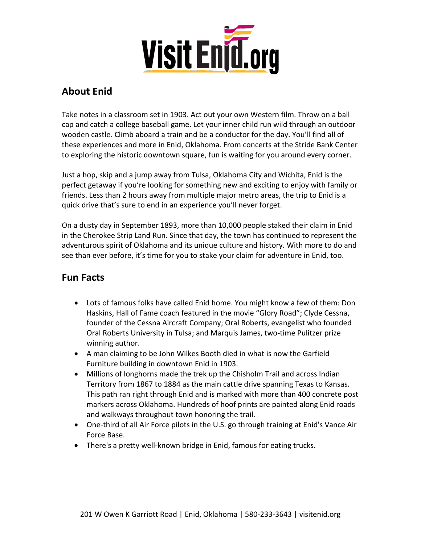

# **About Enid**

Take notes in a classroom set in 1903. Act out your own Western film. Throw on a ball cap and catch a college baseball game. Let your inner child run wild through an outdoor wooden castle. Climb aboard a train and be a conductor for the day. You'll find all of these experiences and more in Enid, Oklahoma. From concerts at the Stride Bank Center to exploring the historic downtown square, fun is waiting for you around every corner.

Just a hop, skip and a jump away from Tulsa, Oklahoma City and Wichita, Enid is the perfect getaway if you're looking for something new and exciting to enjoy with family or friends. Less than 2 hours away from multiple major metro areas, the trip to Enid is a quick drive that's sure to end in an experience you'll never forget.

On a dusty day in September 1893, more than 10,000 people staked their claim in Enid in the Cherokee Strip Land Run. Since that day, the town has continued to represent the adventurous spirit of Oklahoma and its unique culture and history. With more to do and see than ever before, it's time for you to stake your claim for adventure in Enid, too.

## **Fun Facts**

- Lots of famous folks have called Enid home. You might know a few of them: Don Haskins, Hall of Fame coach featured in the movie "Glory Road"; Clyde Cessna, founder of the Cessna Aircraft Company; Oral Roberts, evangelist who founded Oral Roberts University in Tulsa; and Marquis James, two-time Pulitzer prize winning author.
- A man claiming to be John Wilkes Booth died in what is now the Garfield Furniture building in downtown Enid in 1903.
- Millions of longhorns made the trek up the Chisholm Trail and across Indian Territory from 1867 to 1884 as the main cattle drive spanning Texas to Kansas. This path ran right through Enid and is marked with more than 400 concrete post markers across Oklahoma. Hundreds of hoof prints are painted along Enid roads and walkways throughout town honoring the trail.
- One-third of all Air Force pilots in the U.S. go through training at Enid's Vance Air Force Base.
- There's a pretty well-known bridge in Enid, famous for eating trucks.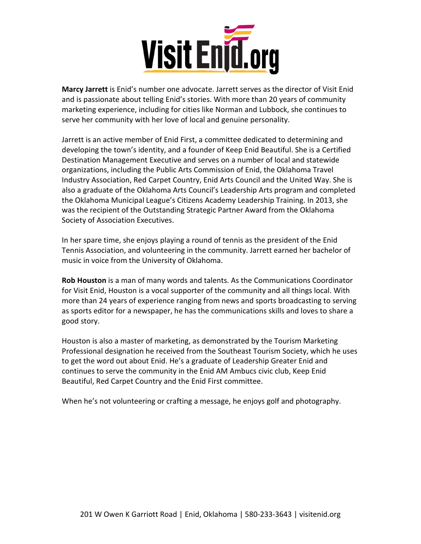

**Marcy Jarrett** is Enid's number one advocate. Jarrett serves as the director of Visit Enid and is passionate about telling Enid's stories. With more than 20 years of community marketing experience, including for cities like Norman and Lubbock, she continues to serve her community with her love of local and genuine personality.

Jarrett is an active member of Enid First, a committee dedicated to determining and developing the town's identity, and a founder of Keep Enid Beautiful. She is a Certified Destination Management Executive and serves on a number of local and statewide organizations, including the Public Arts Commission of Enid, the Oklahoma Travel Industry Association, Red Carpet Country, Enid Arts Council and the United Way. She is also a graduate of the Oklahoma Arts Council's Leadership Arts program and completed the Oklahoma Municipal League's Citizens Academy Leadership Training. In 2013, she was the recipient of the Outstanding Strategic Partner Award from the Oklahoma Society of Association Executives.

In her spare time, she enjoys playing a round of tennis as the president of the Enid Tennis Association, and volunteering in the community. Jarrett earned her bachelor of music in voice from the University of Oklahoma.

**Rob Houston** is a man of many words and talents. As the Communications Coordinator for Visit Enid, Houston is a vocal supporter of the community and all things local. With more than 24 years of experience ranging from news and sports broadcasting to serving as sports editor for a newspaper, he has the communications skills and loves to share a good story.

Houston is also a master of marketing, as demonstrated by the Tourism Marketing Professional designation he received from the Southeast Tourism Society, which he uses to get the word out about Enid. He's a graduate of Leadership Greater Enid and continues to serve the community in the Enid AM Ambucs civic club, Keep Enid Beautiful, Red Carpet Country and the Enid First committee.

When he's not volunteering or crafting a message, he enjoys golf and photography.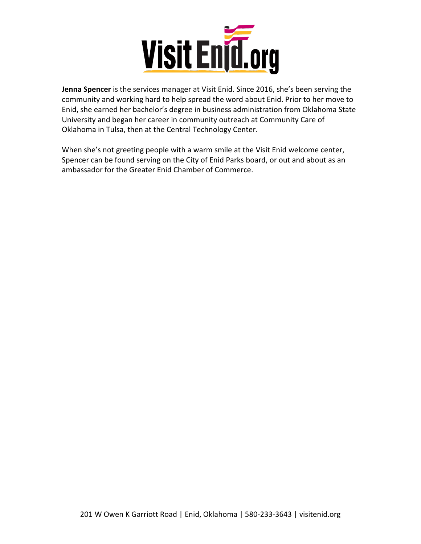

**Jenna Spencer** is the services manager at Visit Enid. Since 2016, she's been serving the community and working hard to help spread the word about Enid. Prior to her move to Enid, she earned her bachelor's degree in business administration from Oklahoma State University and began her career in community outreach at Community Care of Oklahoma in Tulsa, then at the Central Technology Center.

When she's not greeting people with a warm smile at the Visit Enid welcome center, Spencer can be found serving on the City of Enid Parks board, or out and about as an ambassador for the Greater Enid Chamber of Commerce.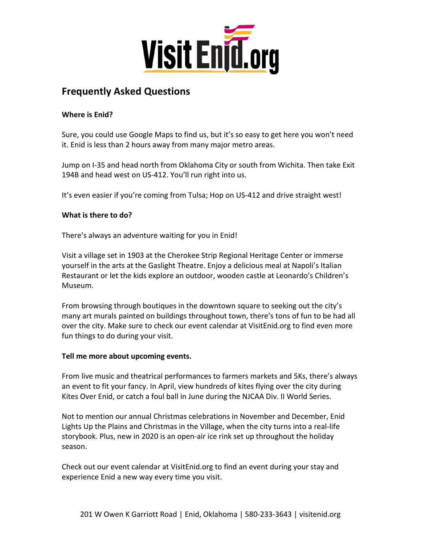

## **Frequently Asked Questions**

## **Where is Enid?**

Sure, you could use Google Maps to find us, but it's so easy to get here you won't need it. Enid is less than 2 hours away from many major metro areas.

Jump on I-35 and head north from Oklahoma City or south from Wichita. Then take Exit 194B and head west on US-412. You'll run right into us.

It's even easier if you're coming from Tulsa; Hop on US-412 and drive straight west!

## **What is there to do?**

There's always an adventure waiting for you in Enid!

Visit a village set in 1903 at the Cherokee Strip Regional Heritage Center or immerse yourself in the arts at the Gaslight Theatre. Enjoy a delicious meal at Napoli's Italian Restaurant or let the kids explore an outdoor, wooden castle at Leonardo's Children's Museum.

From browsing through boutiques in the downtown square to seeking out the city's many art murals painted on buildings throughout town, there's tons of fun to be had all over the city. Make sure to check our event calendar at VisitEnid.org to find even more fun things to do during your visit.

### **Tell me more about upcoming events.**

From live music and theatrical performances to farmers markets and 5Ks, there's always an event to fit your fancy. In April, view hundreds of kites flying over the city during Kites Over Enid, or catch a foul ball in June during the NJCAA Div. II World Series.

Not to mention our annual Christmas celebrations in November and December, Enid Lights Up the Plains and Christmas in the Village, when the city turns into a real-life storybook. Plus, new in 2020 is an open-air ice rink set up throughout the holiday season.

Check out our event calendar at VisitEnid.org to find an event during your stay and experience Enid a new way every time you visit.